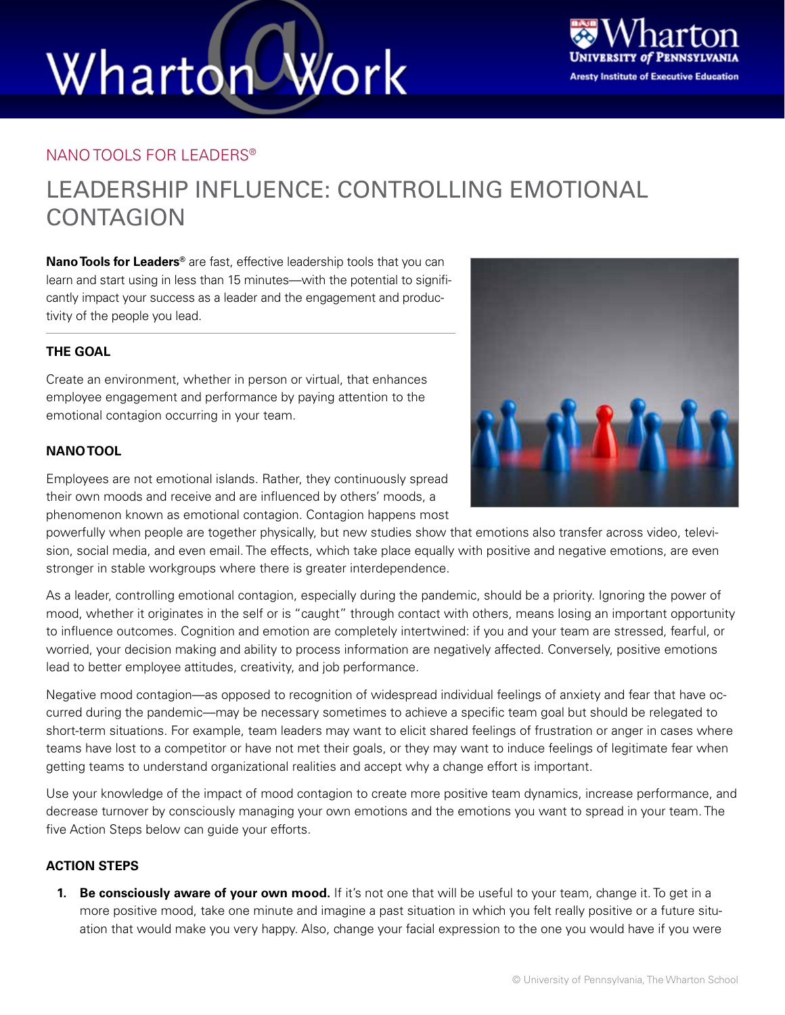# Wharton Work



### NANO TOOLS FOR LEADERS®

### LEADERSHIP INFLUENCE: CONTROLLING EMOTIONAL **CONTAGION**

**Nano Tools for Leaders®** are fast, effective leadership tools that you can learn and start using in less than 15 minutes—with the potential to significantly impact your success as a leader and the engagement and productivity of the people you lead.

### **THE GOAL**

Create an environment, whether in person or virtual, that enhances employee engagement and performance by paying attention to the emotional contagion occurring in your team.

### **NANO TOOL**



Employees are not emotional islands. Rather, they continuously spread their own moods and receive and are influenced by others' moods, a phenomenon known as emotional contagion. Contagion happens most

powerfully when people are together physically, but new studies show that emotions also transfer across video, television, social media, and even email. The effects, which take place equally with positive and negative emotions, are even stronger in stable workgroups where there is greater interdependence.

As a leader, controlling emotional contagion, especially during the pandemic, should be a priority. Ignoring the power of mood, whether it originates in the self or is "caught" through contact with others, means losing an important opportunity to influence outcomes. Cognition and emotion are completely intertwined: if you and your team are stressed, fearful, or worried, your decision making and ability to process information are negatively affected. Conversely, positive emotions lead to better employee attitudes, creativity, and job performance.

Negative mood contagion—as opposed to recognition of widespread individual feelings of anxiety and fear that have occurred during the pandemic—may be necessary sometimes to achieve a specific team goal but should be relegated to short-term situations. For example, team leaders may want to elicit shared feelings of frustration or anger in cases where teams have lost to a competitor or have not met their goals, or they may want to induce feelings of legitimate fear when getting teams to understand organizational realities and accept why a change effort is important.

Use your knowledge of the impact of mood contagion to create more positive team dynamics, increase performance, and decrease turnover by consciously managing your own emotions and the emotions you want to spread in your team. The five Action Steps below can guide your efforts.

#### **ACTION STEPS**

**1. Be consciously aware of your own mood.** If it's not one that will be useful to your team, change it. To get in a more positive mood, take one minute and imagine a past situation in which you felt really positive or a future situation that would make you very happy. Also, change your facial expression to the one you would have if you were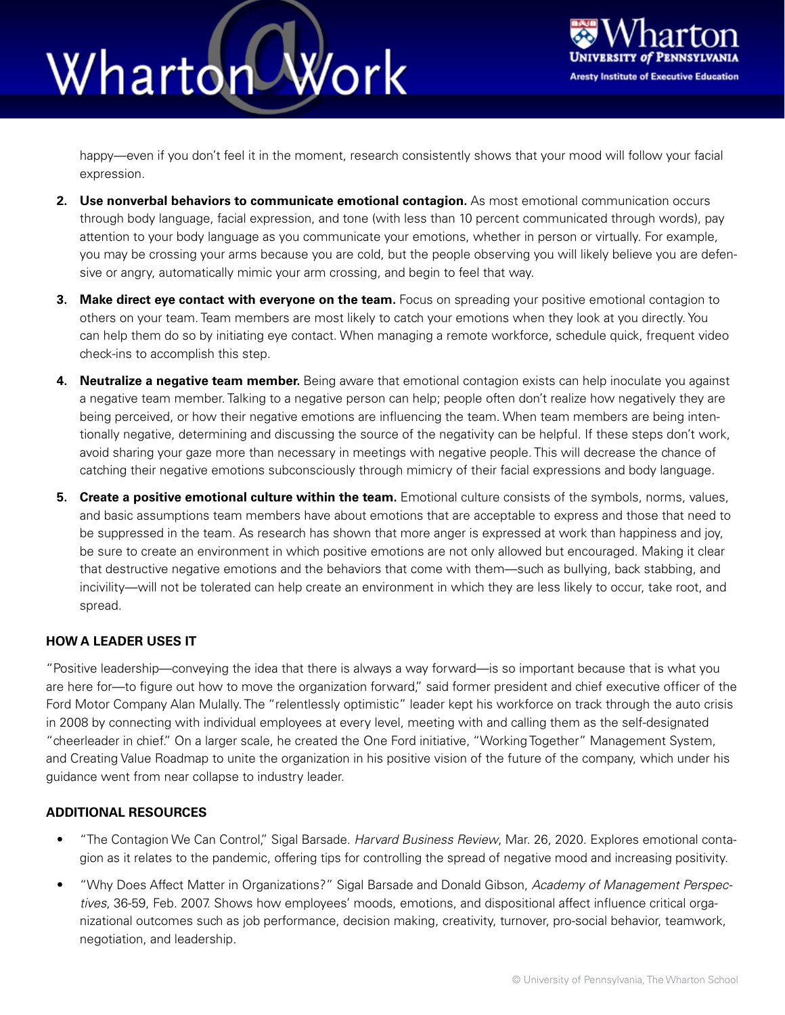## Wharton Work



happy—even if you don't feel it in the moment, research consistently shows that your mood will follow your facial expression.

- **2. Use nonverbal behaviors to communicate emotional contagion.** As most emotional communication occurs through body language, facial expression, and tone (with less than 10 percent communicated through words), pay attention to your body language as you communicate your emotions, whether in person or virtually. For example, you may be crossing your arms because you are cold, but the people observing you will likely believe you are defensive or angry, automatically mimic your arm crossing, and begin to feel that way.
- **3. Make direct eye contact with everyone on the team.** Focus on spreading your positive emotional contagion to others on your team. Team members are most likely to catch your emotions when they look at you directly. You can help them do so by initiating eye contact. When managing a remote workforce, schedule quick, frequent video check-ins to accomplish this step.
- **4. Neutralize a negative team member.** Being aware that emotional contagion exists can help inoculate you against a negative team member. Talking to a negative person can help; people often don't realize how negatively they are being perceived, or how their negative emotions are influencing the team. When team members are being intentionally negative, determining and discussing the source of the negativity can be helpful. If these steps don't work, avoid sharing your gaze more than necessary in meetings with negative people. This will decrease the chance of catching their negative emotions subconsciously through mimicry of their facial expressions and body language.
- **5. Create a positive emotional culture within the team.** Emotional culture consists of the symbols, norms, values, and basic assumptions team members have about emotions that are acceptable to express and those that need to be suppressed in the team. As research has shown that more anger is expressed at work than happiness and joy, be sure to create an environment in which positive emotions are not only allowed but encouraged. Making it clear that destructive negative emotions and the behaviors that come with them—such as bullying, back stabbing, and incivility—will not be tolerated can help create an environment in which they are less likely to occur, take root, and spread.

### **HOW A LEADER USES IT**

"Positive leadership—conveying the idea that there is always a way forward—is so important because that is what you are here for—to figure out how to move the organization forward," said former president and chief executive officer of the Ford Motor Company Alan Mulally. The "relentlessly optimistic" leader kept his workforce on track through the auto crisis in 2008 by connecting with individual employees at every level, meeting with and calling them as the self-designated "cheerleader in chief." On a larger scale, he created the One Ford initiative, "Working Together" Management System, and Creating Value Roadmap to unite the organization in his positive vision of the future of the company, which under his guidance went from near collapse to industry leader.

#### **ADDITIONAL RESOURCES**

- "The Contagion We Can Control," Sigal Barsade. *Harvard Business Review*, Mar. 26, 2020. Explores emotional contagion as it relates to the pandemic, offering tips for controlling the spread of negative mood and increasing positivity.
- "Why Does Affect Matter in Organizations?" Sigal Barsade and Donald Gibson, *Academy of Management Perspectives*, 36-59, Feb. 2007. Shows how employees' moods, emotions, and dispositional affect influence critical organizational outcomes such as job performance, decision making, creativity, turnover, pro-social behavior, teamwork, negotiation, and leadership.